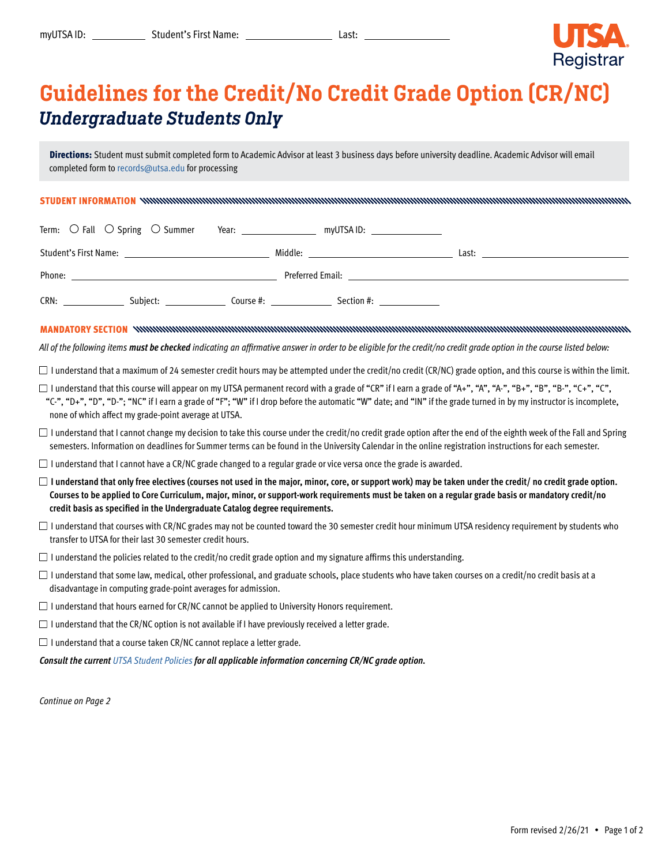

## Guidelines for the Credit/No Credit Grade Option (CR/NC) *Undergraduate Students Only*

Directions: Student must submit completed form to Academic Advisor at least 3 business days before university deadline. Academic Advisor will email completed form to [records@utsa.edu](mailto:records%40utsa.edu?subject=) for processing

STUDENT INFORMATION

|                       | Term: $\bigcirc$ Fall $\bigcirc$ Spring $\bigcirc$ Summer | Year:     | myUTSA ID:       |            |       |  |
|-----------------------|-----------------------------------------------------------|-----------|------------------|------------|-------|--|
| Student's First Name: | the contract of the contract of the contract of           |           | Middle:          |            | Last: |  |
| Phone:                |                                                           |           | Preferred Email: |            |       |  |
| CRN:                  | Subject:                                                  | Course #: |                  | Section #: |       |  |

MANDATORY SECTION

*All of the following items must be checked indicating an affirmative answer in order to be eligible for the credit/no credit grade option in the course listed below:*

 $\Box$  I understand that a maximum of 24 semester credit hours may be attempted under the credit/no credit (CR/NC) grade option, and this course is within the limit.

- $\square$  I understand that this course will appear on my UTSA permanent record with a grade of "CR" if I earn a grade of "A+", "A", "A-", "A-", "B+", "B-", "B-", "C+", "C", "C-", "D+", "D", "D-"; "NC" if I earn a grade of "F"; "W" if I drop before the automatic "W" date; and "IN" if the grade turned in by my instructor is incomplete, none of which affect my grade-point average at UTSA.
- $\Box$  I understand that I cannot change my decision to take this course under the credit/no credit grade option after the end of the eighth week of the Fall and Spring semesters. Information on deadlines for Summer terms can be found in the University Calendar in the online registration instructions for each semester.
- $\Box$  I understand that I cannot have a CR/NC grade changed to a regular grade or vice versa once the grade is awarded.
- $\Box$  I understand that only free electives (courses not used in the major, minor, core, or support work) may be taken under the credit/ no credit grade option. **Courses to be applied to Core Curriculum, major, minor, or support-work requirements must be taken on a regular grade basis or mandatory credit/no credit basis as specified in the Undergraduate Catalog degree requirements.**
- $\Box$  I understand that courses with CR/NC grades may not be counted toward the 30 semester credit hour minimum UTSA residency requirement by students who transfer to UTSA for their last 30 semester credit hours.
- $\Box$  I understand the policies related to the credit/no credit grade option and my signature affirms this understanding.
- $\Box$  I understand that some law, medical, other professional, and graduate schools, place students who have taken courses on a credit/no credit basis at a disadvantage in computing grade-point averages for admission.
- $\Box$  I understand that hours earned for CR/NC cannot be applied to University Honors requirement.
- $\Box$  I understand that the CR/NC option is not available if I have previously received a letter grade.
- $\Box$  I understand that a course taken CR/NC cannot replace a letter grade.

*Consult the current [UTSA Student Policies](https://catalog.utsa.edu/policies/) for all applicable information concerning CR/NC grade option.*

*Continue on Page 2*